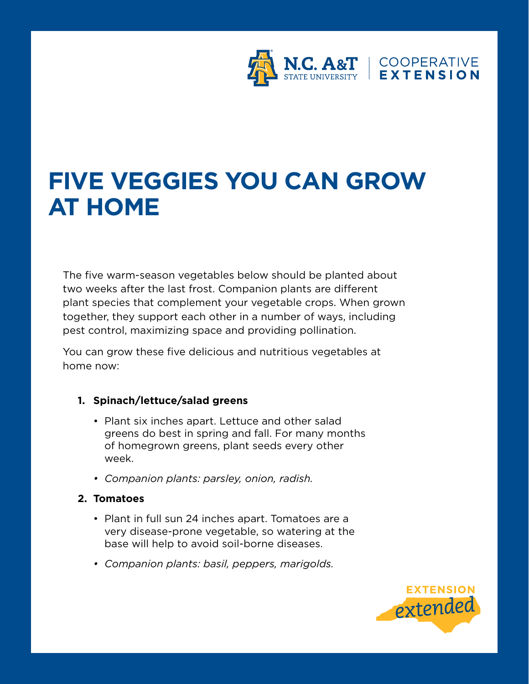

# **FIVE VEGGIES YOU CAN GROW AT HOME**

The five warm-season vegetables below should be planted about two weeks after the last frost. Companion plants are different plant species that complement your vegetable crops. When grown together, they support each other in a number of ways, including pest control, maximizing space and providing pollination.

You can grow these five delicious and nutritious vegetables at home now:

## **1. Spinach/lettuce/salad greens**

- Plant six inches apart. Lettuce and other salad greens do best in spring and fall. For many months of homegrown greens, plant seeds every other week.
- *Companion plants: parsley, onion, radish.*

# **2. Tomatoes**

- Plant in full sun 24 inches apart. Tomatoes are a very disease-prone vegetable, so watering at the base will help to avoid soil-borne diseases.
- *Companion plants: basil, peppers, marigolds.*

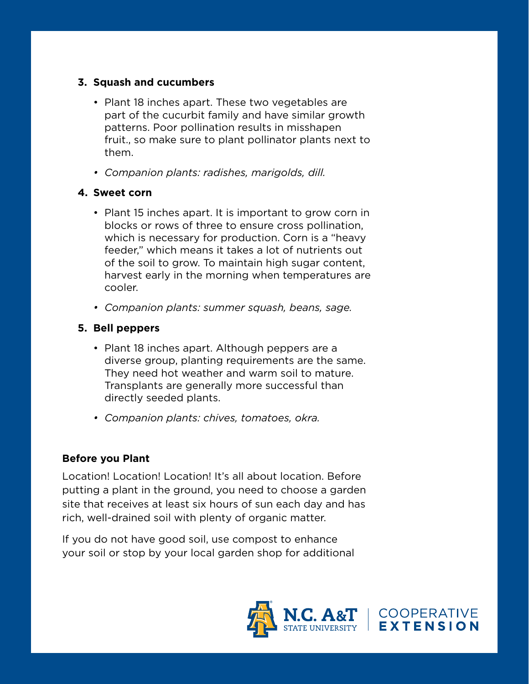#### **3. Squash and cucumbers**

- Plant 18 inches apart. These two vegetables are part of the cucurbit family and have similar growth patterns. Poor pollination results in misshapen fruit., so make sure to plant pollinator plants next to them.
- *Companion plants: radishes, marigolds, dill.*

## **4. Sweet corn**

- Plant 15 inches apart. It is important to grow corn in blocks or rows of three to ensure cross pollination, which is necessary for production. Corn is a "heavy feeder," which means it takes a lot of nutrients out of the soil to grow. To maintain high sugar content, harvest early in the morning when temperatures are cooler.
- *Companion plants: summer squash, beans, sage.*

# **5. Bell peppers**

- Plant 18 inches apart. Although peppers are a diverse group, planting requirements are the same. They need hot weather and warm soil to mature. Transplants are generally more successful than directly seeded plants.
- *Companion plants: chives, tomatoes, okra.*

## **Before you Plant**

Location! Location! Location! It's all about location. Before putting a plant in the ground, you need to choose a garden site that receives at least six hours of sun each day and has rich, well-drained soil with plenty of organic matter.

If you do not have good soil, use compost to enhance your soil or stop by your local garden shop for additional